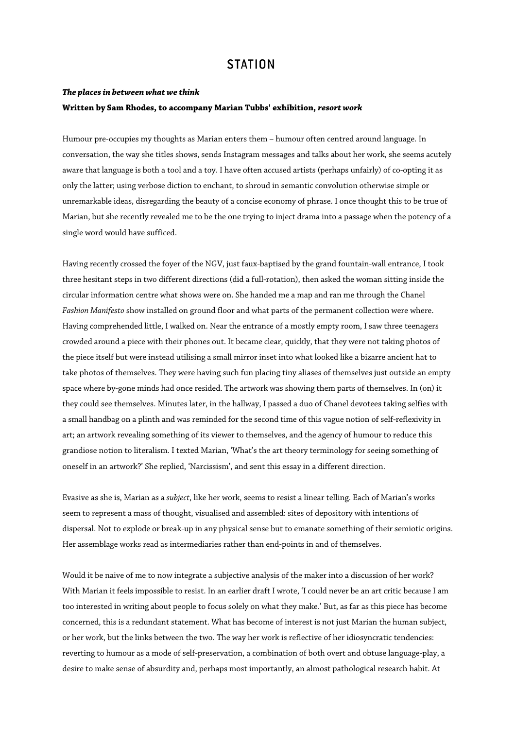# **STATION**

### *The places in between what we think*  **Written by Sam Rhodes, to accompany Marian Tubbs' exhibition,** *resort work*

Humour pre-occupies my thoughts as Marian enters them – humour often centred around language. In conversation, the way she titles shows, sends Instagram messages and talks about her work, she seems acutely aware that language is both a tool and a toy. I have often accused artists (perhaps unfairly) of co-opting it as only the latter; using verbose diction to enchant, to shroud in semantic convolution otherwise simple or unremarkable ideas, disregarding the beauty of a concise economy of phrase. I once thought this to be true of Marian, but she recently revealed me to be the one trying to inject drama into a passage when the potency of a single word would have sufficed.

Having recently crossed the foyer of the NGV, just faux-baptised by the grand fountain-wall entrance, I took three hesitant steps in two different directions (did a full-rotation), then asked the woman sitting inside the circular information centre what shows were on. She handed me a map and ran me through the Chanel *Fashion Manifesto* show installed on ground floor and what parts of the permanent collection were where. Having comprehended little, I walked on. Near the entrance of a mostly empty room, I saw three teenagers crowded around a piece with their phones out. It became clear, quickly, that they were not taking photos of the piece itself but were instead utilising a small mirror inset into what looked like a bizarre ancient hat to take photos of themselves. They were having such fun placing tiny aliases of themselves just outside an empty space where by-gone minds had once resided. The artwork was showing them parts of themselves. In (on) it they could see themselves. Minutes later, in the hallway, I passed a duo of Chanel devotees taking selfies with a small handbag on a plinth and was reminded for the second time of this vague notion of self-reflexivity in art; an artwork revealing something of its viewer to themselves, and the agency of humour to reduce this grandiose notion to literalism. I texted Marian, 'What's the art theory terminology for seeing something of oneself in an artwork?' She replied, 'Narcissism', and sent this essay in a different direction.

Evasive as she is, Marian as a *subject*, like her work, seems to resist a linear telling. Each of Marian's works seem to represent a mass of thought, visualised and assembled: sites of depository with intentions of dispersal. Not to explode or break-up in any physical sense but to emanate something of their semiotic origins. Her assemblage works read as intermediaries rather than end-points in and of themselves.

Would it be naive of me to now integrate a subjective analysis of the maker into a discussion of her work? With Marian it feels impossible to resist. In an earlier draft I wrote, 'I could never be an art critic because I am too interested in writing about people to focus solely on what they make.' But, as far as this piece has become concerned, this is a redundant statement. What has become of interest is not just Marian the human subject, or her work, but the links between the two. The way her work is reflective of her idiosyncratic tendencies: reverting to humour as a mode of self-preservation, a combination of both overt and obtuse language-play, a desire to make sense of absurdity and, perhaps most importantly, an almost pathological research habit. At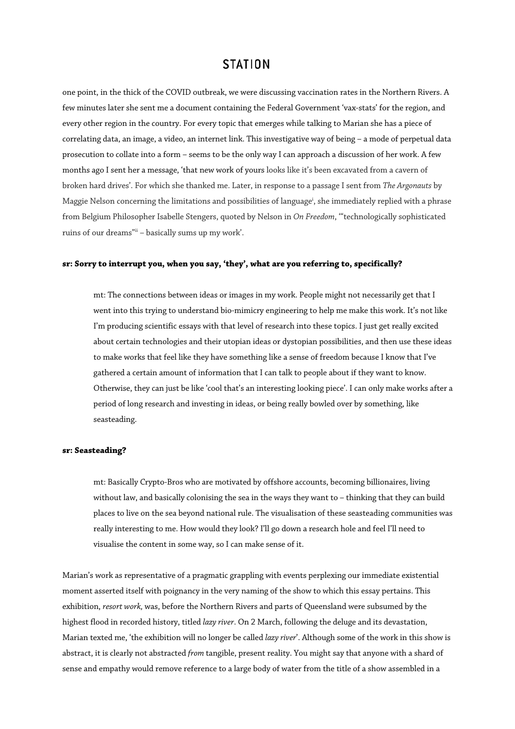# **STATION**

one point, in the thick of the COVID outbreak, we were discussing vaccination rates in the Northern Rivers. A few minutes later she sent me a document containing the Federal Government 'vax-stats' for the region, and every other region in the country. For every topic that emerges while talking to Marian she has a piece of correlating data, an image, a video, an internet link. This investigative way of being – a mode of perpetual data prosecution to collate into a form – seems to be the only way I can approach a discussion of her work. A few months ago I sent her a message, 'that new work of yours looks like it's been excavated from a cavern of broken hard drives'. For which she thanked me. Later, in response to a passage I sent from *The Argonauts* by Maggie Nelson concerning the limitations and possibilities of language<sup>i</sup>, she immediately replied with a phrase from Belgium Philosopher Isabelle Stengers, quoted by Nelson in *On Freedom*, '"technologically sophisticated ruins of our dreams"ii – basically sums up my work'.

### **sr: Sorry to interrupt you, when you say, 'they', what are you referring to, specifically?**

mt: The connections between ideas or images in my work. People might not necessarily get that I went into this trying to understand bio-mimicry engineering to help me make this work. It's not like I'm producing scientific essays with that level of research into these topics. I just get really excited about certain technologies and their utopian ideas or dystopian possibilities, and then use these ideas to make works that feel like they have something like a sense of freedom because I know that I've gathered a certain amount of information that I can talk to people about if they want to know. Otherwise, they can just be like 'cool that's an interesting looking piece'. I can only make works after a period of long research and investing in ideas, or being really bowled over by something, like seasteading.

#### **sr: Seasteading?**

mt: Basically Crypto-Bros who are motivated by offshore accounts, becoming billionaires, living without law, and basically colonising the sea in the ways they want to – thinking that they can build places to live on the sea beyond national rule. The visualisation of these seasteading communities was really interesting to me. How would they look? I'll go down a research hole and feel I'll need to visualise the content in some way, so I can make sense of it.

Marian's work as representative of a pragmatic grappling with events perplexing our immediate existential moment asserted itself with poignancy in the very naming of the show to which this essay pertains. This exhibition, *resort work,* was, before the Northern Rivers and parts of Queensland were subsumed by the highest flood in recorded history, titled *lazy river*. On 2 March, following the deluge and its devastation, Marian texted me, 'the exhibition will no longer be called *lazy river*'. Although some of the work in this show is abstract, it is clearly not abstracted *from* tangible, present reality. You might say that anyone with a shard of sense and empathy would remove reference to a large body of water from the title of a show assembled in a